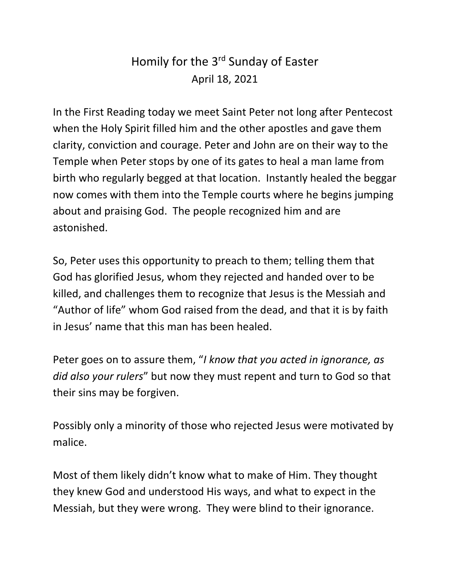## Homily for the 3<sup>rd</sup> Sunday of Easter April 18, 2021

In the First Reading today we meet Saint Peter not long after Pentecost when the Holy Spirit filled him and the other apostles and gave them clarity, conviction and courage. Peter and John are on their way to the Temple when Peter stops by one of its gates to heal a man lame from birth who regularly begged at that location. Instantly healed the beggar now comes with them into the Temple courts where he begins jumping about and praising God. The people recognized him and are astonished.

So, Peter uses this opportunity to preach to them; telling them that God has glorified Jesus, whom they rejected and handed over to be killed, and challenges them to recognize that Jesus is the Messiah and "Author of life" whom God raised from the dead, and that it is by faith in Jesus' name that this man has been healed.

Peter goes on to assure them, "*I know that you acted in ignorance, as did also your rulers*" but now they must repent and turn to God so that their sins may be forgiven.

Possibly only a minority of those who rejected Jesus were motivated by malice.

Most of them likely didn't know what to make of Him. They thought they knew God and understood His ways, and what to expect in the Messiah, but they were wrong. They were blind to their ignorance.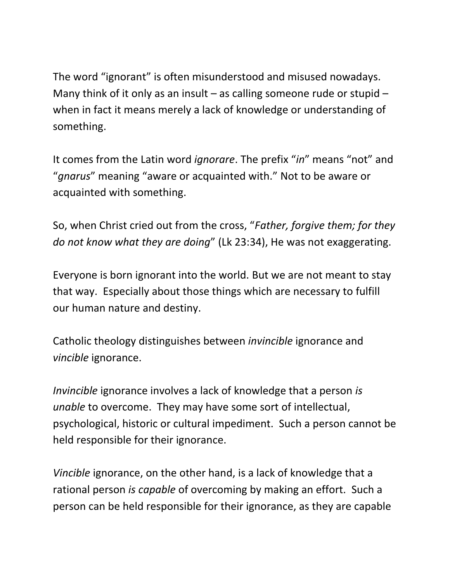The word "ignorant" is often misunderstood and misused nowadays. Many think of it only as an insult – as calling someone rude or stupid – when in fact it means merely a lack of knowledge or understanding of something.

It comes from the Latin word *ignorare*. The prefix "*in*" means "not" and "*gnarus*" meaning "aware or acquainted with." Not to be aware or acquainted with something.

So, when Christ cried out from the cross, "*Father, forgive them; for they do not know what they are doing*" (Lk 23:34), He was not exaggerating.

Everyone is born ignorant into the world. But we are not meant to stay that way. Especially about those things which are necessary to fulfill our human nature and destiny.

Catholic theology distinguishes between *invincible* ignorance and *vincible* ignorance.

*Invincible* ignorance involves a lack of knowledge that a person *is unable* to overcome. They may have some sort of intellectual, psychological, historic or cultural impediment. Such a person cannot be held responsible for their ignorance.

*Vincible* ignorance, on the other hand, is a lack of knowledge that a rational person *is capable* of overcoming by making an effort. Such a person can be held responsible for their ignorance, as they are capable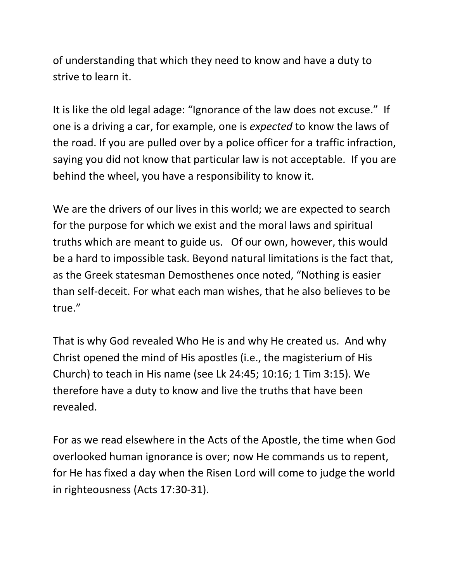of understanding that which they need to know and have a duty to strive to learn it.

It is like the old legal adage: "Ignorance of the law does not excuse." If one is a driving a car, for example, one is *expected* to know the laws of the road. If you are pulled over by a police officer for a traffic infraction, saying you did not know that particular law is not acceptable. If you are behind the wheel, you have a responsibility to know it.

We are the drivers of our lives in this world; we are expected to search for the purpose for which we exist and the moral laws and spiritual truths which are meant to guide us. Of our own, however, this would be a hard to impossible task. Beyond natural limitations is the fact that, as the Greek statesman Demosthenes once noted, "Nothing is easier than self-deceit. For what each man wishes, that he also believes to be true."

That is why God revealed Who He is and why He created us. And why Christ opened the mind of His apostles (i.e., the magisterium of His Church) to teach in His name (see Lk 24:45; 10:16; 1 Tim 3:15). We therefore have a duty to know and live the truths that have been revealed.

For as we read elsewhere in the Acts of the Apostle, the time when God overlooked human ignorance is over; now He commands us to repent, for He has fixed a day when the Risen Lord will come to judge the world in righteousness (Acts 17:30-31).